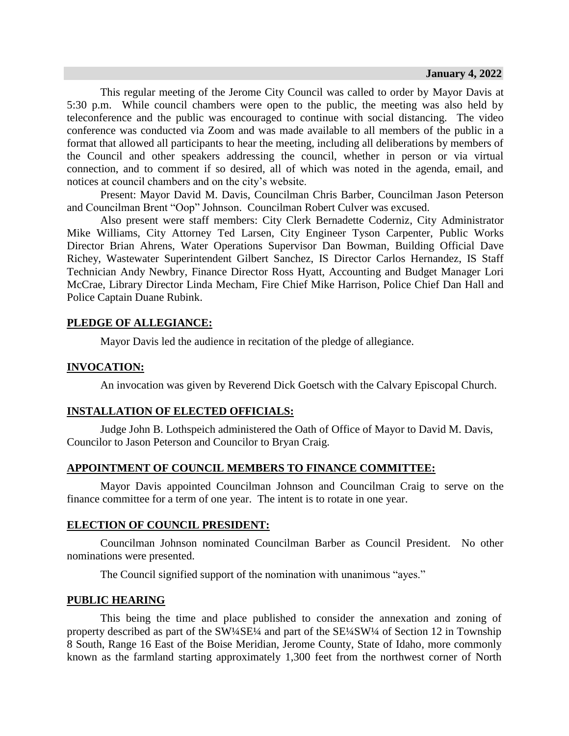This regular meeting of the Jerome City Council was called to order by Mayor Davis at 5:30 p.m. While council chambers were open to the public, the meeting was also held by teleconference and the public was encouraged to continue with social distancing. The video conference was conducted via Zoom and was made available to all members of the public in a format that allowed all participants to hear the meeting, including all deliberations by members of the Council and other speakers addressing the council, whether in person or via virtual connection, and to comment if so desired, all of which was noted in the agenda, email, and notices at council chambers and on the city's website.

Present: Mayor David M. Davis, Councilman Chris Barber, Councilman Jason Peterson and Councilman Brent "Oop" Johnson. Councilman Robert Culver was excused.

Also present were staff members: City Clerk Bernadette Coderniz, City Administrator Mike Williams, City Attorney Ted Larsen, City Engineer Tyson Carpenter, Public Works Director Brian Ahrens, Water Operations Supervisor Dan Bowman, Building Official Dave Richey, Wastewater Superintendent Gilbert Sanchez, IS Director Carlos Hernandez, IS Staff Technician Andy Newbry, Finance Director Ross Hyatt, Accounting and Budget Manager Lori McCrae, Library Director Linda Mecham, Fire Chief Mike Harrison, Police Chief Dan Hall and Police Captain Duane Rubink.

# **PLEDGE OF ALLEGIANCE:**

Mayor Davis led the audience in recitation of the pledge of allegiance.

## **INVOCATION:**

An invocation was given by Reverend Dick Goetsch with the Calvary Episcopal Church.

# **INSTALLATION OF ELECTED OFFICIALS:**

Judge John B. Lothspeich administered the Oath of Office of Mayor to David M. Davis, Councilor to Jason Peterson and Councilor to Bryan Craig.

# **APPOINTMENT OF COUNCIL MEMBERS TO FINANCE COMMITTEE:**

Mayor Davis appointed Councilman Johnson and Councilman Craig to serve on the finance committee for a term of one year. The intent is to rotate in one year.

# **ELECTION OF COUNCIL PRESIDENT:**

Councilman Johnson nominated Councilman Barber as Council President. No other nominations were presented.

The Council signified support of the nomination with unanimous "ayes."

#### **PUBLIC HEARING**

This being the time and place published to consider the annexation and zoning of property described as part of the SW¼SE¼ and part of the SE¼SW¼ of Section 12 in Township 8 South, Range 16 East of the Boise Meridian, Jerome County, State of Idaho, more commonly known as the farmland starting approximately 1,300 feet from the northwest corner of North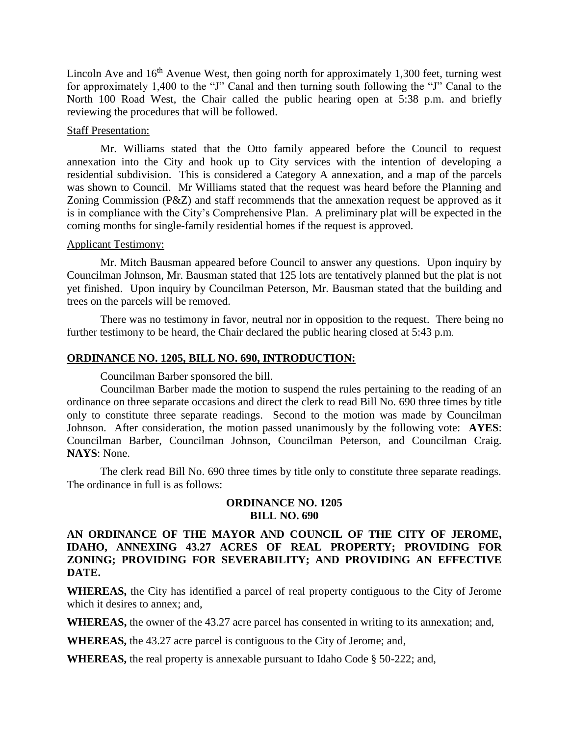Lincoln Ave and  $16<sup>th</sup>$  Avenue West, then going north for approximately 1,300 feet, turning west for approximately 1,400 to the "J" Canal and then turning south following the "J" Canal to the North 100 Road West, the Chair called the public hearing open at 5:38 p.m. and briefly reviewing the procedures that will be followed.

#### Staff Presentation:

Mr. Williams stated that the Otto family appeared before the Council to request annexation into the City and hook up to City services with the intention of developing a residential subdivision. This is considered a Category A annexation, and a map of the parcels was shown to Council. Mr Williams stated that the request was heard before the Planning and Zoning Commission (P&Z) and staff recommends that the annexation request be approved as it is in compliance with the City's Comprehensive Plan. A preliminary plat will be expected in the coming months for single-family residential homes if the request is approved.

## Applicant Testimony:

Mr. Mitch Bausman appeared before Council to answer any questions. Upon inquiry by Councilman Johnson, Mr. Bausman stated that 125 lots are tentatively planned but the plat is not yet finished. Upon inquiry by Councilman Peterson, Mr. Bausman stated that the building and trees on the parcels will be removed.

There was no testimony in favor, neutral nor in opposition to the request. There being no further testimony to be heard, the Chair declared the public hearing closed at 5:43 p.m.

#### **ORDINANCE NO. 1205, BILL NO. 690, INTRODUCTION:**

Councilman Barber sponsored the bill.

Councilman Barber made the motion to suspend the rules pertaining to the reading of an ordinance on three separate occasions and direct the clerk to read Bill No. 690 three times by title only to constitute three separate readings. Second to the motion was made by Councilman Johnson. After consideration, the motion passed unanimously by the following vote: **AYES**: Councilman Barber, Councilman Johnson, Councilman Peterson, and Councilman Craig. **NAYS**: None.

The clerk read Bill No. 690 three times by title only to constitute three separate readings. The ordinance in full is as follows:

## **ORDINANCE NO. 1205 BILL NO. 690**

# **AN ORDINANCE OF THE MAYOR AND COUNCIL OF THE CITY OF JEROME, IDAHO, ANNEXING 43.27 ACRES OF REAL PROPERTY; PROVIDING FOR ZONING; PROVIDING FOR SEVERABILITY; AND PROVIDING AN EFFECTIVE DATE.**

**WHEREAS,** the City has identified a parcel of real property contiguous to the City of Jerome which it desires to annex; and,

**WHEREAS,** the owner of the 43.27 acre parcel has consented in writing to its annexation; and,

**WHEREAS,** the 43.27 acre parcel is contiguous to the City of Jerome; and,

**WHEREAS,** the real property is annexable pursuant to Idaho Code § 50-222; and,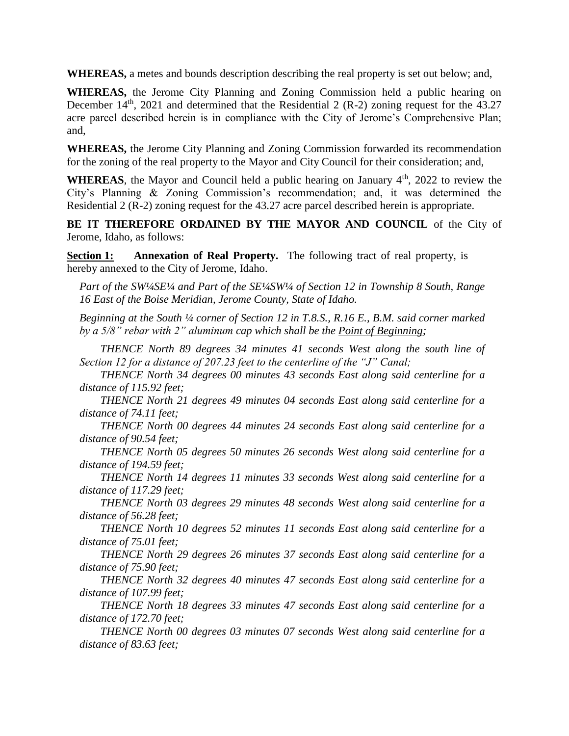**WHEREAS,** a metes and bounds description describing the real property is set out below; and,

**WHEREAS,** the Jerome City Planning and Zoning Commission held a public hearing on December  $14<sup>th</sup>$ , 2021 and determined that the Residential 2 (R-2) zoning request for the 43.27 acre parcel described herein is in compliance with the City of Jerome's Comprehensive Plan; and,

**WHEREAS,** the Jerome City Planning and Zoning Commission forwarded its recommendation for the zoning of the real property to the Mayor and City Council for their consideration; and,

WHEREAS, the Mayor and Council held a public hearing on January 4<sup>th</sup>, 2022 to review the City's Planning & Zoning Commission's recommendation; and, it was determined the Residential 2 (R-2) zoning request for the 43.27 acre parcel described herein is appropriate.

**BE IT THEREFORE ORDAINED BY THE MAYOR AND COUNCIL** of the City of Jerome, Idaho, as follows:

**Section 1: Annexation of Real Property.** The following tract of real property, is hereby annexed to the City of Jerome, Idaho.

*Part of the SW¼SE¼ and Part of the SE¼SW¼ of Section 12 in Township 8 South, Range 16 East of the Boise Meridian, Jerome County, State of Idaho.* 

*Beginning at the South ¼ corner of Section 12 in T.8.S., R.16 E., B.M. said corner marked by a 5/8" rebar with 2" aluminum cap which shall be the Point of Beginning;* 

*THENCE North 89 degrees 34 minutes 41 seconds West along the south line of Section 12 for a distance of 207.23 feet to the centerline of the "J" Canal;* 

*THENCE North 34 degrees 00 minutes 43 seconds East along said centerline for a distance of 115.92 feet;* 

*THENCE North 21 degrees 49 minutes 04 seconds East along said centerline for a distance of 74.11 feet;* 

*THENCE North 00 degrees 44 minutes 24 seconds East along said centerline for a distance of 90.54 feet;* 

*THENCE North 05 degrees 50 minutes 26 seconds West along said centerline for a distance of 194.59 feet;* 

*THENCE North 14 degrees 11 minutes 33 seconds West along said centerline for a distance of 117.29 feet;* 

*THENCE North 03 degrees 29 minutes 48 seconds West along said centerline for a distance of 56.28 feet;* 

*THENCE North 10 degrees 52 minutes 11 seconds East along said centerline for a distance of 75.01 feet;* 

*THENCE North 29 degrees 26 minutes 37 seconds East along said centerline for a distance of 75.90 feet;* 

*THENCE North 32 degrees 40 minutes 47 seconds East along said centerline for a distance of 107.99 feet;* 

*THENCE North 18 degrees 33 minutes 47 seconds East along said centerline for a distance of 172.70 feet;* 

*THENCE North 00 degrees 03 minutes 07 seconds West along said centerline for a distance of 83.63 feet;*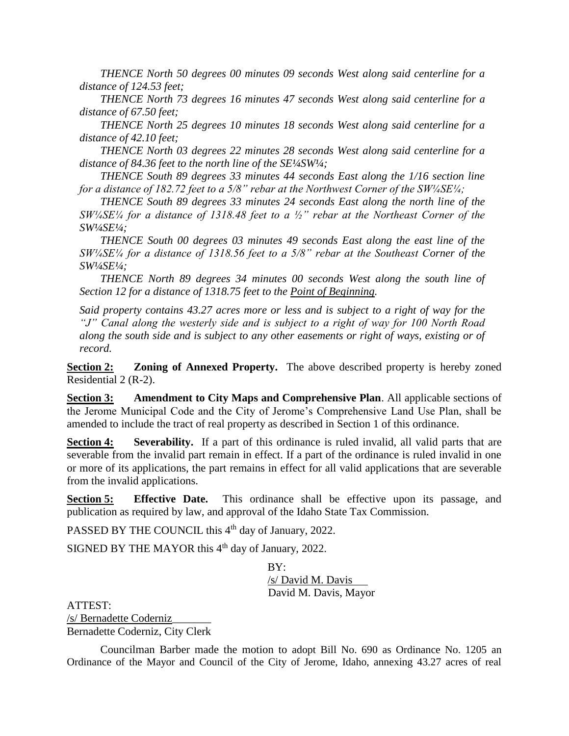*THENCE North 50 degrees 00 minutes 09 seconds West along said centerline for a distance of 124.53 feet;* 

*THENCE North 73 degrees 16 minutes 47 seconds West along said centerline for a distance of 67.50 feet;* 

*THENCE North 25 degrees 10 minutes 18 seconds West along said centerline for a distance of 42.10 feet;* 

*THENCE North 03 degrees 22 minutes 28 seconds West along said centerline for a distance of 84.36 feet to the north line of the SE¼SW¼;* 

*THENCE South 89 degrees 33 minutes 44 seconds East along the 1/16 section line for a distance of 182.72 feet to a 5/8" rebar at the Northwest Corner of the SW1/4SE1/4;* 

*THENCE South 89 degrees 33 minutes 24 seconds East along the north line of the SW¼SE¼ for a distance of 1318.48 feet to a ½" rebar at the Northeast Corner of the SW¼SE¼;* 

*THENCE South 00 degrees 03 minutes 49 seconds East along the east line of the SW¼SE¼ for a distance of 1318.56 feet to a 5/8" rebar at the Southeast Corner of the SW¼SE¼;*

*THENCE North 89 degrees 34 minutes 00 seconds West along the south line of Section 12 for a distance of 1318.75 feet to the Point of Beginning.* 

*Said property contains 43.27 acres more or less and is subject to a right of way for the "J" Canal along the westerly side and is subject to a right of way for 100 North Road along the south side and is subject to any other easements or right of ways, existing or of record.* 

**Section 2: Zoning of Annexed Property.** The above described property is hereby zoned Residential 2  $(R-2)$ .

**Section 3: Amendment to City Maps and Comprehensive Plan**. All applicable sections of the Jerome Municipal Code and the City of Jerome's Comprehensive Land Use Plan, shall be amended to include the tract of real property as described in Section 1 of this ordinance.

**Section 4: Severability.** If a part of this ordinance is ruled invalid, all valid parts that are severable from the invalid part remain in effect. If a part of the ordinance is ruled invalid in one or more of its applications, the part remains in effect for all valid applications that are severable from the invalid applications.

**Section 5: Effective Date.** This ordinance shall be effective upon its passage, and publication as required by law, and approval of the Idaho State Tax Commission.

PASSED BY THE COUNCIL this 4<sup>th</sup> day of January, 2022.

SIGNED BY THE MAYOR this  $4<sup>th</sup>$  day of January, 2022.

 $BY'$ /s/ David M. Davis David M. Davis, Mayor

ATTEST: /s/ Bernadette Coderniz\_\_\_\_\_\_\_ Bernadette Coderniz, City Clerk

Councilman Barber made the motion to adopt Bill No. 690 as Ordinance No. 1205 an Ordinance of the Mayor and Council of the City of Jerome, Idaho, annexing 43.27 acres of real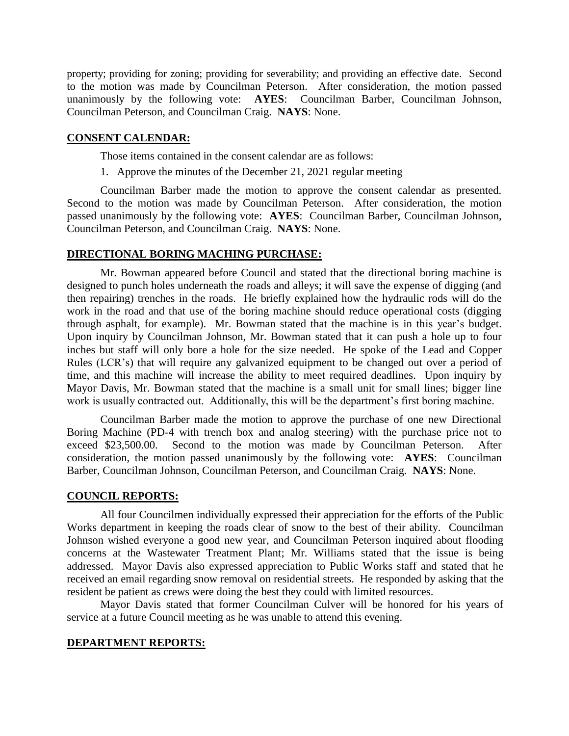property; providing for zoning; providing for severability; and providing an effective date. Second to the motion was made by Councilman Peterson. After consideration, the motion passed unanimously by the following vote: **AYES**: Councilman Barber, Councilman Johnson, Councilman Peterson, and Councilman Craig. **NAYS**: None.

#### **CONSENT CALENDAR:**

Those items contained in the consent calendar are as follows:

1. Approve the minutes of the December 21, 2021 regular meeting

Councilman Barber made the motion to approve the consent calendar as presented. Second to the motion was made by Councilman Peterson. After consideration, the motion passed unanimously by the following vote: **AYES**: Councilman Barber, Councilman Johnson, Councilman Peterson, and Councilman Craig. **NAYS**: None.

#### **DIRECTIONAL BORING MACHING PURCHASE:**

Mr. Bowman appeared before Council and stated that the directional boring machine is designed to punch holes underneath the roads and alleys; it will save the expense of digging (and then repairing) trenches in the roads. He briefly explained how the hydraulic rods will do the work in the road and that use of the boring machine should reduce operational costs (digging through asphalt, for example). Mr. Bowman stated that the machine is in this year's budget. Upon inquiry by Councilman Johnson, Mr. Bowman stated that it can push a hole up to four inches but staff will only bore a hole for the size needed. He spoke of the Lead and Copper Rules (LCR's) that will require any galvanized equipment to be changed out over a period of time, and this machine will increase the ability to meet required deadlines. Upon inquiry by Mayor Davis, Mr. Bowman stated that the machine is a small unit for small lines; bigger line work is usually contracted out. Additionally, this will be the department's first boring machine.

Councilman Barber made the motion to approve the purchase of one new Directional Boring Machine (PD-4 with trench box and analog steering) with the purchase price not to exceed \$23,500.00. Second to the motion was made by Councilman Peterson. After consideration, the motion passed unanimously by the following vote: **AYES**: Councilman Barber, Councilman Johnson, Councilman Peterson, and Councilman Craig. **NAYS**: None.

#### **COUNCIL REPORTS:**

All four Councilmen individually expressed their appreciation for the efforts of the Public Works department in keeping the roads clear of snow to the best of their ability. Councilman Johnson wished everyone a good new year, and Councilman Peterson inquired about flooding concerns at the Wastewater Treatment Plant; Mr. Williams stated that the issue is being addressed. Mayor Davis also expressed appreciation to Public Works staff and stated that he received an email regarding snow removal on residential streets. He responded by asking that the resident be patient as crews were doing the best they could with limited resources.

Mayor Davis stated that former Councilman Culver will be honored for his years of service at a future Council meeting as he was unable to attend this evening.

#### **DEPARTMENT REPORTS:**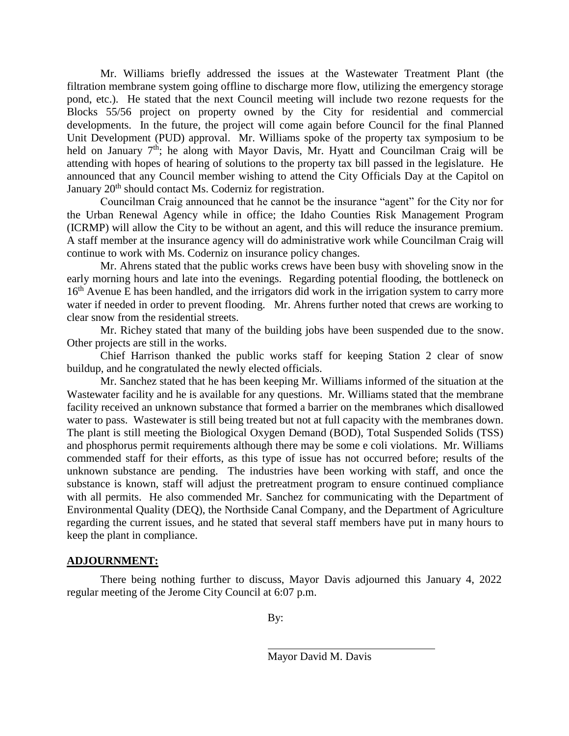Mr. Williams briefly addressed the issues at the Wastewater Treatment Plant (the filtration membrane system going offline to discharge more flow, utilizing the emergency storage pond, etc.). He stated that the next Council meeting will include two rezone requests for the Blocks 55/56 project on property owned by the City for residential and commercial developments. In the future, the project will come again before Council for the final Planned Unit Development (PUD) approval. Mr. Williams spoke of the property tax symposium to be held on January 7<sup>th</sup>; he along with Mayor Davis, Mr. Hyatt and Councilman Craig will be attending with hopes of hearing of solutions to the property tax bill passed in the legislature. He announced that any Council member wishing to attend the City Officials Day at the Capitol on January 20<sup>th</sup> should contact Ms. Coderniz for registration.

Councilman Craig announced that he cannot be the insurance "agent" for the City nor for the Urban Renewal Agency while in office; the Idaho Counties Risk Management Program (ICRMP) will allow the City to be without an agent, and this will reduce the insurance premium. A staff member at the insurance agency will do administrative work while Councilman Craig will continue to work with Ms. Coderniz on insurance policy changes.

Mr. Ahrens stated that the public works crews have been busy with shoveling snow in the early morning hours and late into the evenings. Regarding potential flooding, the bottleneck on 16<sup>th</sup> Avenue E has been handled, and the irrigators did work in the irrigation system to carry more water if needed in order to prevent flooding. Mr. Ahrens further noted that crews are working to clear snow from the residential streets.

Mr. Richey stated that many of the building jobs have been suspended due to the snow. Other projects are still in the works.

Chief Harrison thanked the public works staff for keeping Station 2 clear of snow buildup, and he congratulated the newly elected officials.

Mr. Sanchez stated that he has been keeping Mr. Williams informed of the situation at the Wastewater facility and he is available for any questions. Mr. Williams stated that the membrane facility received an unknown substance that formed a barrier on the membranes which disallowed water to pass. Wastewater is still being treated but not at full capacity with the membranes down. The plant is still meeting the Biological Oxygen Demand (BOD), Total Suspended Solids (TSS) and phosphorus permit requirements although there may be some e coli violations. Mr. Williams commended staff for their efforts, as this type of issue has not occurred before; results of the unknown substance are pending. The industries have been working with staff, and once the substance is known, staff will adjust the pretreatment program to ensure continued compliance with all permits. He also commended Mr. Sanchez for communicating with the Department of Environmental Quality (DEQ), the Northside Canal Company, and the Department of Agriculture regarding the current issues, and he stated that several staff members have put in many hours to keep the plant in compliance.

# **ADJOURNMENT:**

There being nothing further to discuss, Mayor Davis adjourned this January 4, 2022 regular meeting of the Jerome City Council at 6:07 p.m.

By:

Mayor David M. Davis